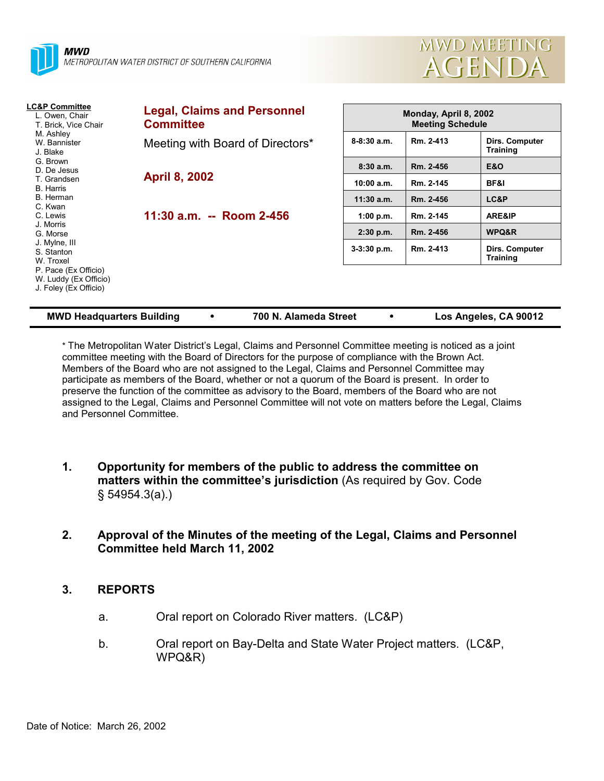



| <b>LC&amp;P Committee</b><br>L. Owen, Chair<br>T. Brick, Vice Chair<br>M. Ashley<br>W. Bannister<br>J. Blake | <b>Legal, Claims and Personnel</b><br><b>Committee</b> | Monday, April 8, 2002<br><b>Meeting Schedule</b> |           |                                          |  |
|--------------------------------------------------------------------------------------------------------------|--------------------------------------------------------|--------------------------------------------------|-----------|------------------------------------------|--|
|                                                                                                              | Meeting with Board of Directors*                       | $8 - 8:30$ a.m.                                  | Rm. 2-413 | Dirs. Computer<br><b>Training</b>        |  |
| G. Brown<br>D. De Jesus                                                                                      |                                                        | 8:30a.m.                                         | Rm. 2-456 | <b>E&amp;O</b>                           |  |
| T. Grandsen<br><b>B.</b> Harris                                                                              | <b>April 8, 2002</b>                                   | 10:00 a.m.                                       | Rm. 2-145 | BF&I                                     |  |
| B. Herman<br>C. Kwan                                                                                         |                                                        | $11:30$ a.m.                                     | Rm. 2-456 | LC&P                                     |  |
| C. Lewis                                                                                                     | 11:30 a.m. -- Room 2-456                               | 1:00 p.m.                                        | Rm. 2-145 | ARE&IP                                   |  |
| J. Morris<br>G. Morse                                                                                        |                                                        | 2:30 p.m.                                        | Rm. 2-456 | WPQ&R                                    |  |
| J. Mylne, III<br>S. Stanton<br>W. Troxel                                                                     |                                                        | $3-3:30$ p.m.                                    | Rm. 2-413 | <b>Dirs. Computer</b><br><b>Training</b> |  |
| P. Pace (Ex Officio)<br>W. Luddy (Ex Officio)<br>J. Foley (Ex Officio)                                       |                                                        |                                                  |           |                                          |  |

| <b>MWD Headquarters Building</b> |  | 700 N. Alameda Street |  | Los Angeles, CA 90012 |
|----------------------------------|--|-----------------------|--|-----------------------|
|----------------------------------|--|-----------------------|--|-----------------------|

\* The Metropolitan Water District's Legal, Claims and Personnel Committee meeting is noticed as a joint committee meeting with the Board of Directors for the purpose of compliance with the Brown Act. Members of the Board who are not assigned to the Legal, Claims and Personnel Committee may participate as members of the Board, whether or not a quorum of the Board is present. In order to preserve the function of the committee as advisory to the Board, members of the Board who are not assigned to the Legal, Claims and Personnel Committee will not vote on matters before the Legal, Claims and Personnel Committee.

- **1. Opportunity for members of the public to address the committee on matters within the committee's jurisdiction** (As required by Gov. Code § 54954.3(a).)
- **2. Approval of the Minutes of the meeting of the Legal, Claims and Personnel Committee held March 11, 2002**

## **3. REPORTS**

- a. Oral report on Colorado River matters. (LC&P)
- b. Oral report on Bay-Delta and State Water Project matters. (LC&P, WPQ&R)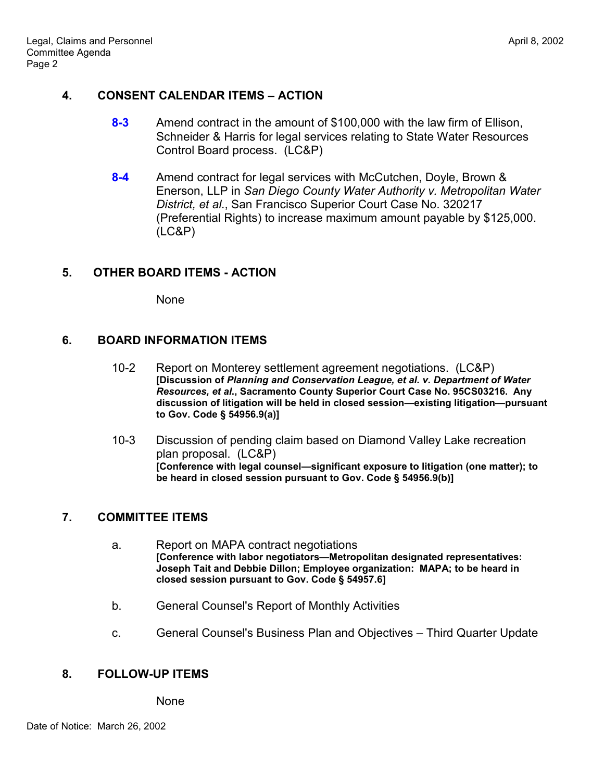## **4. CONSENT CALENDAR ITEMS – ACTION**

- **8-3** Amend contract in the amount of \$100,000 with the law firm of Ellison, Schneider & Harris for legal services relating to State Water Resources Control Board process. (LC&P)
- **8-4** Amend contract for legal services with McCutchen, Doyle, Brown & Enerson, LLP in *San Diego County Water Authority v. Metropolitan Water District, et al*., San Francisco Superior Court Case No. 320217 (Preferential Rights) to increase maximum amount payable by \$125,000. (LC&P)

## **5. OTHER BOARD ITEMS - ACTION**

None

### **6. BOARD INFORMATION ITEMS**

- 10-2 Report on Monterey settlement agreement negotiations. (LC&P) **[Discussion of** *Planning and Conservation League, et al. v. Department of Water Resources, et al***., Sacramento County Superior Court Case No. 95CS03216. Any discussion of litigation will be held in closed session—existing litigation—pursuant to Gov. Code § 54956.9(a)]**
- 10-3 Discussion of pending claim based on Diamond Valley Lake recreation plan proposal. (LC&P) **[Conference with legal counsel—significant exposure to litigation (one matter); to be heard in closed session pursuant to Gov. Code § 54956.9(b)]**

#### **7. COMMITTEE ITEMS**

- a. Report on MAPA contract negotiations **[Conference with labor negotiators—Metropolitan designated representatives: Joseph Tait and Debbie Dillon; Employee organization: MAPA; to be heard in closed session pursuant to Gov. Code § 54957.6]**
- b. General Counsel's Report of Monthly Activities
- c. General Counsel's Business Plan and Objectives Third Quarter Update

### **8. FOLLOW-UP ITEMS**

None